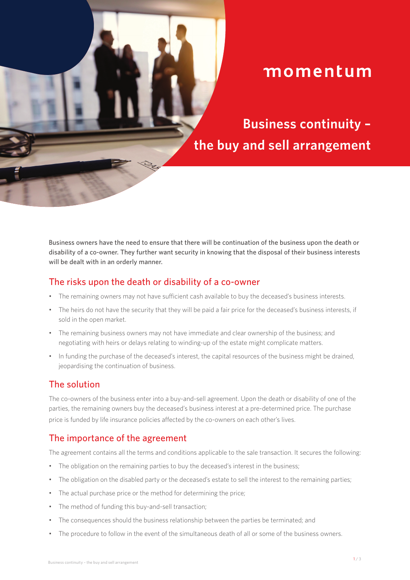# momentum

**Business continuity – the buy and sell arrangement**

Business owners have the need to ensure that there will be continuation of the business upon the death or disability of a co-owner. They further want security in knowing that the disposal of their business interests will be dealt with in an orderly manner.

#### The risks upon the death or disability of a co-owner

- The remaining owners may not have sufficient cash available to buy the deceased's business interests.
- The heirs do not have the security that they will be paid a fair price for the deceased's business interests, if sold in the open market.
- The remaining business owners may not have immediate and clear ownership of the business; and negotiating with heirs or delays relating to winding-up of the estate might complicate matters.
- In funding the purchase of the deceased's interest, the capital resources of the business might be drained, jeopardising the continuation of business.

## The solution

The co-owners of the business enter into a buy-and-sell agreement. Upon the death or disability of one of the parties, the remaining owners buy the deceased's business interest at a pre-determined price. The purchase price is funded by life insurance policies affected by the co-owners on each other's lives.

## The importance of the agreement

The agreement contains all the terms and conditions applicable to the sale transaction. It secures the following:

- The obligation on the remaining parties to buy the deceased's interest in the business;
- The obligation on the disabled party or the deceased's estate to sell the interest to the remaining parties;
- The actual purchase price or the method for determining the price;
- The method of funding this buy-and-sell transaction;
- The consequences should the business relationship between the parties be terminated; and
- The procedure to follow in the event of the simultaneous death of all or some of the business owners.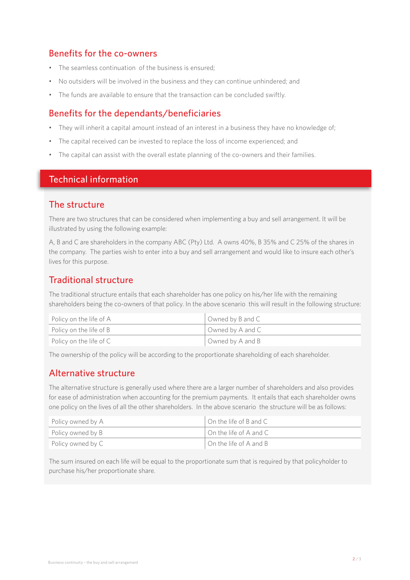# Benefits for the co-owners

- The seamless continuation of the business is ensured;
- No outsiders will be involved in the business and they can continue unhindered; and
- The funds are available to ensure that the transaction can be concluded swiftly.

# Benefits for the dependants/beneficiaries

- They will inherit a capital amount instead of an interest in a business they have no knowledge of;
- The capital received can be invested to replace the loss of income experienced; and
- The capital can assist with the overall estate planning of the co-owners and their families.

#### Technical information

#### The structure

There are two structures that can be considered when implementing a buy and sell arrangement. It will be illustrated by using the following example:

A, B and C are shareholders in the company ABC (Pty) Ltd. A owns 40%, B 35% and C 25% of the shares in the company. The parties wish to enter into a buy and sell arrangement and would like to insure each other's lives for this purpose.

# Traditional structure

The traditional structure entails that each shareholder has one policy on his/her life with the remaining shareholders being the co-owners of that policy. In the above scenario this will result in the following structure:

| Policy on the life of A | Owned by B and C |
|-------------------------|------------------|
| Policy on the life of B | Owned by A and C |
| Policy on the life of C | Owned by A and B |

The ownership of the policy will be according to the proportionate shareholding of each shareholder.

## Alternative structure

The alternative structure is generally used where there are a larger number of shareholders and also provides for ease of administration when accounting for the premium payments. It entails that each shareholder owns one policy on the lives of all the other shareholders. In the above scenario the structure will be as follows:

| Policy owned by A | $\Box$ On the life of B and C |
|-------------------|-------------------------------|
| Policy owned by B | $\Box$ On the life of A and C |
| Policy owned by C | On the life of A and B        |

The sum insured on each life will be equal to the proportionate sum that is required by that policyholder to purchase his/her proportionate share.